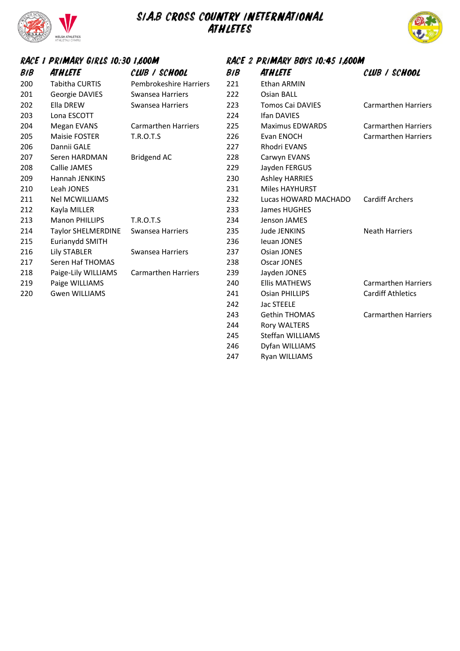

### SIA.B CROSS COUNTRY INETERNATIONAL **ATHLETES**



#### RACE 1 PRIMARY GIRLS 10:30 1,600M RACE 2 PRIMARY BOYS 10:45 1,600M  $B/B$ **ATHLETE** CLUB / SCHOOL  $B/B$ **ATHLETE** CLUB / SCHOOL Tabitha CURTIS Pembrokeshire Harriers 221 Ethan ARMIN 201 Georgie DAVIES Swansea Harriers 222 Osian BALL Ella DREW Swansea Harriers 223 Tomos Cai DAVIES Carmarthen Harriers Lona ESCOTT 224 Ifan DAVIES Megan EVANS Carmarthen Harriers 225 Maximus EDWARDS Carmarthen Harriers Maisie FOSTER T.R.O.T.S 226 Evan ENOCH Carmarthen Harriers Dannii GALE 227 Rhodri EVANS Seren HARDMAN Bridgend AC 228 Carwyn EVANS Callie JAMES 229 Jayden FERGUS Hannah JENKINS 230 Ashley HARRIES Leah JONES 231 Miles HAYHURST Nel MCWILLIAMS 232 Lucas HOWARD MACHADO Cardiff Archers Kayla MILLER 233 James HUGHES Manon PHILLIPS T.R.O.T.S 234 Jenson JAMES 214 Taylor SHELMERDINE Swansea Harriers 235 Jude JENKINS Neath Harriers Eurianydd SMITH 236 Ieuan JONES Lily STABLER Swansea Harriers 237 Osian JONES Seren Haf THOMAS 238 Oscar JONES Paige-Lily WILLIAMS Carmarthen Harriers 239 Jayden JONES Paige WILLIAMS 240 Ellis MATHEWS Carmarthen Harriers Gwen WILLIAMS 241 Osian PHILLIPS Cardiff Athletics 242 Jac STEELE Gethin THOMAS Carmarthen Harriers Rory WALTERS Steffan WILLIAMS Dyfan WILLIAMS

- 
- 
- 
- Ryan WILLIAMS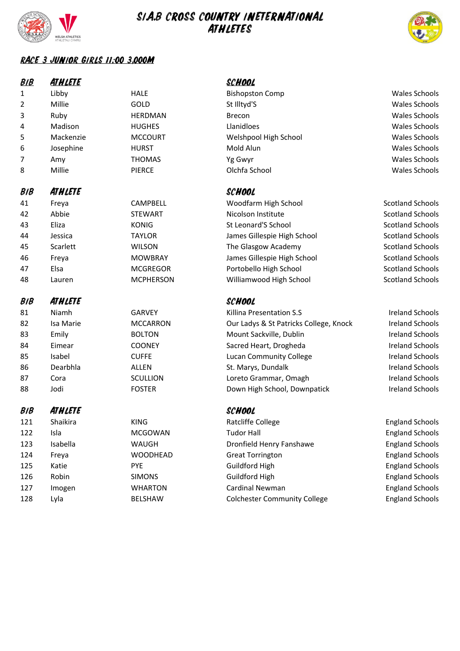

128

Lyla

BELSHAW

# SIA.B CROSS COUNTRY INETERNATIONAL



**England Schools** 

### RACE 3 JUNIOR GIRLS 11:00 3,000M

| B/B        | <b>ATHLETE</b> |                  | <b>SCHOOL</b>                          |                         |
|------------|----------------|------------------|----------------------------------------|-------------------------|
| 1          | Libby          | <b>HALE</b>      | <b>Bishopston Comp</b>                 | <b>Wales Schools</b>    |
| 2          | Millie         | GOLD             | St Illtyd'S                            | <b>Wales Schools</b>    |
| 3          | Ruby           | <b>HERDMAN</b>   | Brecon                                 | <b>Wales Schools</b>    |
| 4          | Madison        | <b>HUGHES</b>    | Llanidloes                             | <b>Wales Schools</b>    |
| 5          | Mackenzie      | <b>MCCOURT</b>   | Welshpool High School                  | <b>Wales Schools</b>    |
| 6          | Josephine      | <b>HURST</b>     | Mold Alun                              | <b>Wales Schools</b>    |
| 7          | Amy            | <b>THOMAS</b>    | Yg Gwyr                                | <b>Wales Schools</b>    |
| 8          | Millie         | <b>PIERCE</b>    | Olchfa School                          | <b>Wales Schools</b>    |
| <b>BIB</b> | ATHLETE        |                  | SCHOOL                                 |                         |
| 41         | Freya          | CAMPBELL         | Woodfarm High School                   | <b>Scotland Schools</b> |
| 42         | Abbie          | <b>STEWART</b>   | Nicolson Institute                     | <b>Scotland Schools</b> |
| 43         | Eliza          | <b>KONIG</b>     | St Leonard'S School                    | <b>Scotland Schools</b> |
| 44         | Jessica        | <b>TAYLOR</b>    | James Gillespie High School            | <b>Scotland Schools</b> |
| 45         | Scarlett       | <b>WILSON</b>    | The Glasgow Academy                    | <b>Scotland Schools</b> |
| 46         | Freya          | <b>MOWBRAY</b>   | James Gillespie High School            | <b>Scotland Schools</b> |
| 47         | Elsa           | <b>MCGREGOR</b>  | Portobello High School                 | <b>Scotland Schools</b> |
| 48         | Lauren         | <b>MCPHERSON</b> | Williamwood High School                | <b>Scotland Schools</b> |
| <b>BIB</b> | ATHLETE        |                  | SCHOOL                                 |                         |
| 81         | Niamh          | <b>GARVEY</b>    | Killina Presentation S.S               | <b>Ireland Schools</b>  |
| 82         | Isa Marie      | <b>MCCARRON</b>  | Our Ladys & St Patricks College, Knock | <b>Ireland Schools</b>  |
| 83         | Emily          | <b>BOLTON</b>    | Mount Sackville, Dublin                | <b>Ireland Schools</b>  |
| 84         | Eimear         | <b>COONEY</b>    | Sacred Heart, Drogheda                 | <b>Ireland Schools</b>  |
| 85         | Isabel         | <b>CUFFE</b>     | <b>Lucan Community College</b>         | <b>Ireland Schools</b>  |
| 86         | Dearbhla       | <b>ALLEN</b>     | St. Marys, Dundalk                     | <b>Ireland Schools</b>  |
| 87         | Cora           | <b>SCULLION</b>  | Loreto Grammar, Omagh                  | <b>Ireland Schools</b>  |
| 88         | Jodi           | <b>FOSTER</b>    | Down High School, Downpatick           | <b>Ireland Schools</b>  |
| <b>BIB</b> | <b>ATHLETE</b> |                  | <b>SCHOOL</b>                          |                         |
| 121        | Shaikira       | <b>KING</b>      | Ratcliffe College                      | <b>England Schools</b>  |
| 122        | Isla           | <b>MCGOWAN</b>   | <b>Tudor Hall</b>                      | <b>England Schools</b>  |
| 123        | Isabella       | <b>WAUGH</b>     | Dronfield Henry Fanshawe               | <b>England Schools</b>  |
| 124        | Freya          | <b>WOODHEAD</b>  | <b>Great Torrington</b>                | <b>England Schools</b>  |
| 125        | Katie          | <b>PYE</b>       | Guildford High                         | <b>England Schools</b>  |
| 126        | Robin          | <b>SIMONS</b>    | Guildford High                         | <b>England Schools</b>  |
| 127        | Imogen         | <b>WHARTON</b>   | Cardinal Newman                        | <b>England Schools</b>  |

**Colchester Community College**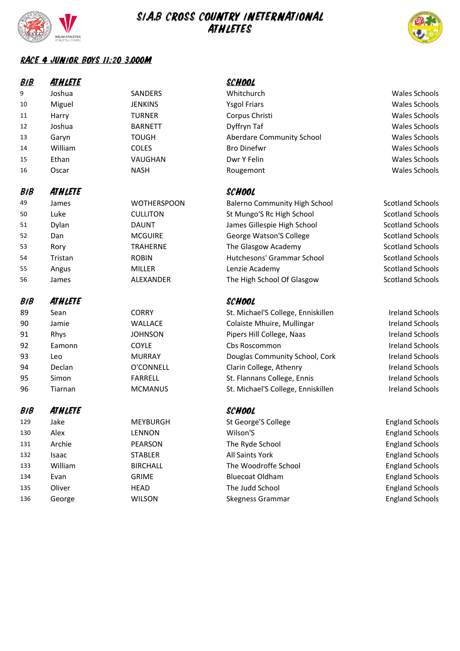

135

136

Oliver

George

HEAD

**WILSON** 

# SIA.B CROSS COUNTRY INETERNATIONAL



**England Schools** 

**England Schools** 

#### RACE 4 JUNIOR BOYS 11:20 3,000M

| <b>BIB</b> | <b>ATHLETE</b> |                    | <b>SCHOOL</b>                        |                         |
|------------|----------------|--------------------|--------------------------------------|-------------------------|
| 9          | Joshua         | SANDERS            | Whitchurch                           | <b>Wales Schools</b>    |
| 10         | Miguel         | <b>JENKINS</b>     | <b>Ysgol Friars</b>                  | <b>Wales Schools</b>    |
| 11         | Harry          | <b>TURNER</b>      | Corpus Christi                       | <b>Wales Schools</b>    |
| 12         | Joshua         | <b>BARNETT</b>     | Dyffryn Taf                          | <b>Wales Schools</b>    |
| 13         | Garyn          | <b>TOUGH</b>       | Aberdare Community School            | <b>Wales Schools</b>    |
| 14         | William        | COLES              | <b>Bro Dinefwr</b>                   | <b>Wales Schools</b>    |
| 15         | Ethan          | VAUGHAN            | Dwr Y Felin                          | <b>Wales Schools</b>    |
| 16         | Oscar          | <b>NASH</b>        | Rougemont                            | <b>Wales Schools</b>    |
| <b>BIB</b> | ATHLETE        |                    | SCHOOL                               |                         |
| 49         | James          | <b>WOTHERSPOON</b> | <b>Balerno Community High School</b> | <b>Scotland Schools</b> |
| 50         | Luke           | <b>CULLITON</b>    | St Mungo'S Rc High School            | <b>Scotland Schools</b> |
| 51         | Dylan          | <b>DAUNT</b>       | James Gillespie High School          | <b>Scotland Schools</b> |
| 52         | Dan            | <b>MCGUIRE</b>     | George Watson'S College              | <b>Scotland Schools</b> |
| 53         | Rory           | <b>TRAHERNE</b>    | The Glasgow Academy                  | <b>Scotland Schools</b> |
| 54         | Tristan        | <b>ROBIN</b>       | Hutchesons' Grammar School           | <b>Scotland Schools</b> |
| 55         | Angus          | <b>MILLER</b>      | Lenzie Academy                       | <b>Scotland Schools</b> |
| 56         | James          | ALEXANDER          | The High School Of Glasgow           | <b>Scotland Schools</b> |
| <b>BIB</b> | ATHLETE        |                    | SCHOOL                               |                         |
| 89         | Sean           | <b>CORRY</b>       | St. Michael'S College, Enniskillen   | <b>Ireland Schools</b>  |
| 90         | Jamie          | WALLACE            | Colaiste Mhuire, Mullingar           | <b>Ireland Schools</b>  |
| 91         | Rhys           | <b>JOHNSON</b>     | Pipers Hill College, Naas            | <b>Ireland Schools</b>  |
| 92         | Eamonn         | COYLE              | Cbs Roscommon                        | <b>Ireland Schools</b>  |
| 93         | Leo            | <b>MURRAY</b>      | Douglas Community School, Cork       | <b>Ireland Schools</b>  |
| 94         | Declan         | O'CONNELL          | Clarin College, Athenry              | <b>Ireland Schools</b>  |
| 95         | Simon          | <b>FARRELL</b>     | St. Flannans College, Ennis          | <b>Ireland Schools</b>  |
| 96         | Tiarnan        | <b>MCMANUS</b>     | St. Michael'S College, Enniskillen   | <b>Ireland Schools</b>  |
| <b>BIB</b> | <b>ATHLETE</b> |                    | SCHOOL                               |                         |
| 129        | Jake           | <b>MEYBURGH</b>    | St George'S College                  | <b>England Schools</b>  |
| 130        | Alex           | <b>LENNON</b>      | Wilson'S                             | <b>England Schools</b>  |
| 131        | Archie         | PEARSON            | The Ryde School                      | <b>England Schools</b>  |
| 132        | Isaac          | <b>STABLER</b>     | All Saints York                      | <b>England Schools</b>  |
| 133        | William        | <b>BIRCHALL</b>    | The Woodroffe School                 | <b>England Schools</b>  |
| 134        | Evan           | <b>GRIME</b>       | <b>Bluecoat Oldham</b>               | <b>England Schools</b>  |

The Judd School

Skegness Grammar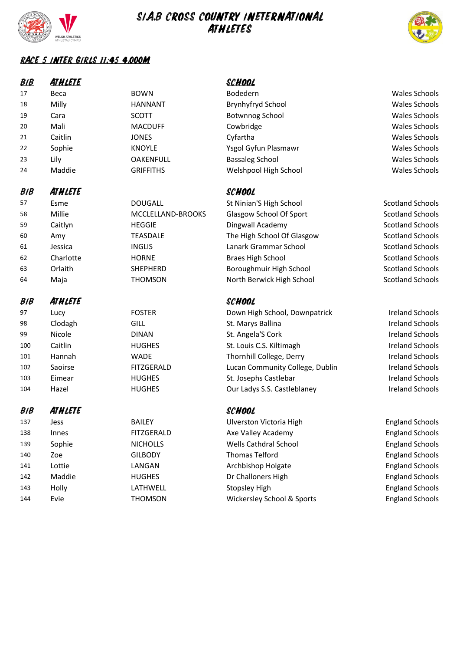

143

144

Holly

Evie

LATHWELL

**THOMSON** 

## SIA.B CROSS COUNTRY INETERNATIONAL **ATHLETES**



**England Schools** 

**England Schools** 

#### RACE S INTER GIRLS 11:45 4,000M

| <b>BIB</b> | <u>ATH LETE</u> |                   | <b>SCHOOL</b>                   |                         |
|------------|-----------------|-------------------|---------------------------------|-------------------------|
| 17         | Beca            | <b>BOWN</b>       | Bodedern                        | Wales Schools           |
| 18         | Milly           | <b>HANNANT</b>    | Brynhyfryd School               | <b>Wales Schools</b>    |
| 19         | Cara            | <b>SCOTT</b>      | <b>Botwnnog School</b>          | Wales Schools           |
| 20         | Mali            | <b>MACDUFF</b>    | Cowbridge                       | Wales Schools           |
| 21         | Caitlin         | <b>JONES</b>      | Cyfartha                        | <b>Wales Schools</b>    |
| 22         | Sophie          | <b>KNOYLE</b>     | Ysgol Gyfun Plasmawr            | <b>Wales Schools</b>    |
| 23         | Lily            | <b>OAKENFULL</b>  | <b>Bassaleg School</b>          | Wales Schools           |
| 24         | Maddie          | <b>GRIFFITHS</b>  | Welshpool High School           | <b>Wales Schools</b>    |
| <b>BIB</b> | ATHLETE         |                   | SCHOOL                          |                         |
| 57         | Esme            | <b>DOUGALL</b>    | St Ninian'S High School         | <b>Scotland Schools</b> |
| 58         | Millie          | MCCLELLAND-BROOKS | Glasgow School Of Sport         | <b>Scotland Schools</b> |
| 59         | Caitlyn         | <b>HEGGIE</b>     | Dingwall Academy                | <b>Scotland Schools</b> |
| 60         | Amy             | <b>TEASDALE</b>   | The High School Of Glasgow      | <b>Scotland Schools</b> |
| 61         | Jessica         | <b>INGLIS</b>     | Lanark Grammar School           | <b>Scotland Schools</b> |
| 62         | Charlotte       | <b>HORNE</b>      | <b>Braes High School</b>        | <b>Scotland Schools</b> |
| 63         | Orlaith         | <b>SHEPHERD</b>   | Boroughmuir High School         | <b>Scotland Schools</b> |
| 64         | Maja            | <b>THOMSON</b>    | North Berwick High School       | <b>Scotland Schools</b> |
| <b>BIB</b> | <b>ATHLETE</b>  |                   | <b>SCHOOL</b>                   |                         |
| 97         | Lucy            | <b>FOSTER</b>     | Down High School, Downpatrick   | <b>Ireland Schools</b>  |
| 98         | Clodagh         | GILL              | St. Marys Ballina               | <b>Ireland Schools</b>  |
| 99         | Nicole          | <b>DINAN</b>      | St. Angela'S Cork               | <b>Ireland Schools</b>  |
| 100        | Caitlin         | <b>HUGHES</b>     | St. Louis C.S. Kiltimagh        | <b>Ireland Schools</b>  |
| 101        | Hannah          | <b>WADE</b>       | Thornhill College, Derry        | <b>Ireland Schools</b>  |
| 102        | Saoirse         | <b>FITZGERALD</b> | Lucan Community College, Dublin | <b>Ireland Schools</b>  |
| 103        | Eimear          | <b>HUGHES</b>     | St. Josephs Castlebar           | <b>Ireland Schools</b>  |
| 104        | Hazel           | <b>HUGHES</b>     | Our Ladys S.S. Castleblaney     | <b>Ireland Schools</b>  |
| <b>BIB</b> | <b>ATHLETE</b>  |                   | <b>SCHOOL</b>                   |                         |
| 137        | Jess            | <b>BAILEY</b>     | Ulverston Victoria High         | <b>England Schools</b>  |
| 138        | Innes           | <b>FITZGERALD</b> | Axe Valley Academy              | <b>England Schools</b>  |
| 139        | Sophie          | <b>NICHOLLS</b>   | Wells Cathdral School           | <b>England Schools</b>  |
| 140        | Zoe             | <b>GILBODY</b>    | <b>Thomas Telford</b>           | <b>England Schools</b>  |
| 141        | Lottie          | LANGAN            | Archbishop Holgate              | <b>England Schools</b>  |
| 142        | Maddie          | <b>HUGHES</b>     | Dr Challoners High              | <b>England Schools</b>  |

**Stopsley High** 

Wickersley School & Sports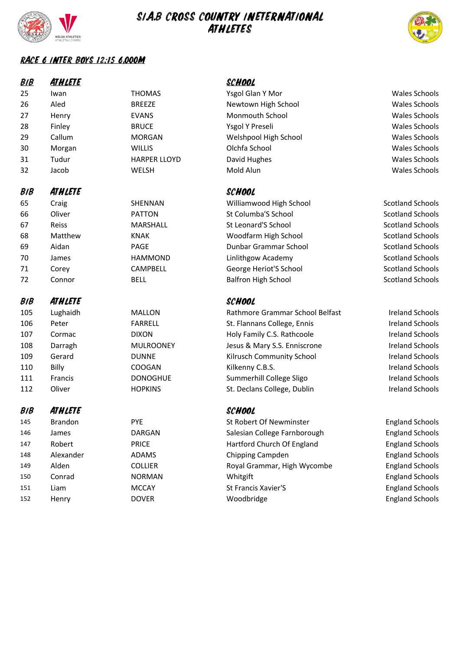

# SIA.B CROSS COUNTRY INETERNATIONAL



#### RACE 6 INTER BOYS 12:15 6,000M

| <b>BIB</b> | <b>ATHLETE</b> |                     | <u>SCHOOL</u>                   |                         |
|------------|----------------|---------------------|---------------------------------|-------------------------|
| 25         | Iwan           | <b>THOMAS</b>       | Ysgol Glan Y Mor                | <b>Wales Schools</b>    |
| 26         | Aled           | <b>BREEZE</b>       | Newtown High School             | <b>Wales Schools</b>    |
| 27         | Henry          | <b>EVANS</b>        | Monmouth School                 | <b>Wales Schools</b>    |
| 28         | Finley         | <b>BRUCE</b>        | Ysgol Y Preseli                 | <b>Wales Schools</b>    |
| 29         | Callum         | <b>MORGAN</b>       | Welshpool High School           | <b>Wales Schools</b>    |
| 30         | Morgan         | <b>WILLIS</b>       | Olchfa School                   | <b>Wales Schools</b>    |
| 31         | Tudur          | <b>HARPER LLOYD</b> | David Hughes                    | <b>Wales Schools</b>    |
| 32         | Jacob          | WELSH               | Mold Alun                       | <b>Wales Schools</b>    |
| <b>BIB</b> | ATHLETE        |                     | SCHOOL                          |                         |
| 65         | Craig          | SHENNAN             | Williamwood High School         | <b>Scotland Schools</b> |
| 66         | Oliver         | <b>PATTON</b>       | St Columba'S School             | <b>Scotland Schools</b> |
| 67         | Reiss          | MARSHALL            | St Leonard'S School             | <b>Scotland Schools</b> |
| 68         | Matthew        | <b>KNAK</b>         | Woodfarm High School            | <b>Scotland Schools</b> |
| 69         | Aidan          | <b>PAGE</b>         | Dunbar Grammar School           | <b>Scotland Schools</b> |
| 70         | James          | <b>HAMMOND</b>      | Linlithgow Academy              | <b>Scotland Schools</b> |
| 71         | Corey          | CAMPBELL            | George Heriot'S School          | <b>Scotland Schools</b> |
| 72         | Connor         | <b>BELL</b>         | <b>Balfron High School</b>      | <b>Scotland Schools</b> |
| <b>BIB</b> | ATHLETE        |                     | SCHOOL                          |                         |
|            |                |                     |                                 |                         |
| 105        | Lughaidh       | <b>MALLON</b>       | Rathmore Grammar School Belfast | <b>Ireland Schools</b>  |
| 106        | Peter          | <b>FARRELL</b>      | St. Flannans College, Ennis     | <b>Ireland Schools</b>  |
| 107        | Cormac         | <b>DIXON</b>        | Holy Family C.S. Rathcoole      | <b>Ireland Schools</b>  |
| 108        | Darragh        | <b>MULROONEY</b>    | Jesus & Mary S.S. Enniscrone    | <b>Ireland Schools</b>  |
| 109        | Gerard         | <b>DUNNE</b>        | Kilrusch Community School       | <b>Ireland Schools</b>  |
| 110        | Billy          | COOGAN              | Kilkenny C.B.S.                 | <b>Ireland Schools</b>  |
| 111        | Francis        | <b>DONOGHUE</b>     | Summerhill College Sligo        | <b>Ireland Schools</b>  |
| 112        | Oliver         | <b>HOPKINS</b>      | St. Declans College, Dublin     | <b>Ireland Schools</b>  |
| <b>BIB</b> | ATHLETE        |                     | SCHOOL                          |                         |
| 145        | <b>Brandon</b> | <b>PYE</b>          | St Robert Of Newminster         | <b>England Schools</b>  |
| 146        | James          | <b>DARGAN</b>       | Salesian College Farnborough    | <b>England Schools</b>  |
| 147        | Robert         | <b>PRICE</b>        | Hartford Church Of England      | <b>England Schools</b>  |
| 148        | Alexander      | ADAMS               | Chipping Campden                | <b>England Schools</b>  |
| 149        | Alden          | <b>COLLIER</b>      | Royal Grammar, High Wycombe     | <b>England Schools</b>  |
| 150        | Conrad         | <b>NORMAN</b>       | Whitgift                        | <b>England Schools</b>  |
| 151        | Liam           | <b>MCCAY</b>        | St Francis Xavier'S             | <b>England Schools</b>  |